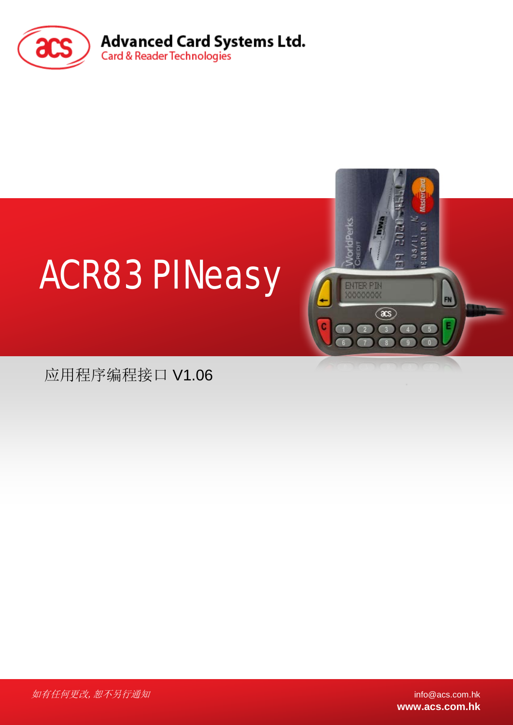



应用程序编程接口 V1.06

 $\mu$ 有任何更改, 恕不另行通知 info@acs.com.hk

**www.acs.com.hk**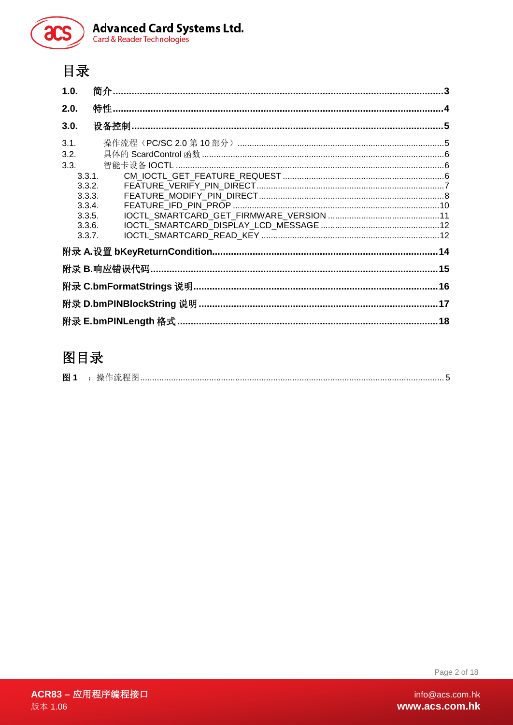

### 目录

| 1.0.             |  |
|------------------|--|
| 2.0.             |  |
| 3.0.             |  |
| 3.1.             |  |
| 3.2.             |  |
| 3.3.             |  |
| 3.3.1.           |  |
| 3.3.2.           |  |
| 3.3.3.           |  |
| 3.3.4.<br>3.3.5. |  |
| 3.3.6.           |  |
| 3.3.7.           |  |
|                  |  |
|                  |  |
|                  |  |
|                  |  |
|                  |  |

## 图目录

| 图 |  |
|---|--|
|---|--|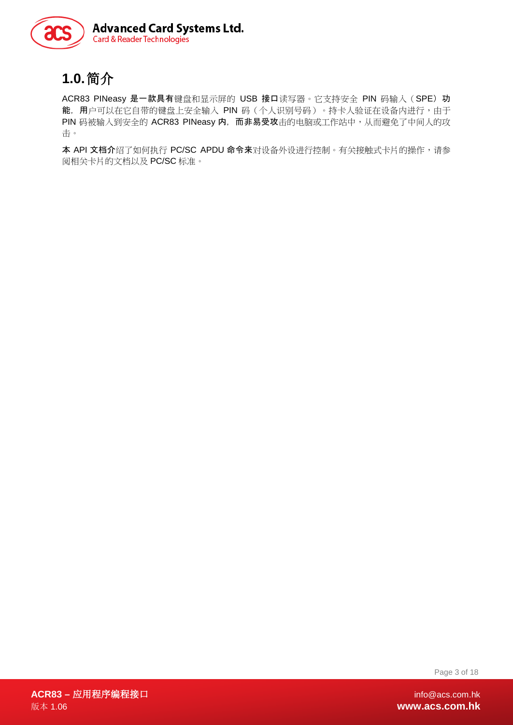

### <span id="page-2-0"></span>**1.0.**简介

ACR83 PINeasy 是一款具有键盘和显示屏的 USB 接口读写器。它支持安全 PIN 码输入 (SPE) 功 能,用户可以在它自带的键盘上安全输入 PIN 码 (个人识别号码)。持卡人验证在设备内进行,由于 PIN 码被输入到安全的 ACR83 PINeasy 内,而非易受攻击的电脑或工作站中,从而避免了中间人的攻 击。

本 API 文档介绍了如何执行 PC/SC APDU 命令来对设备外设进行控制。有关接触式卡片的操作,请参 阅相关卡片的文档以及 PC/SC 标准。

Page 3 of 18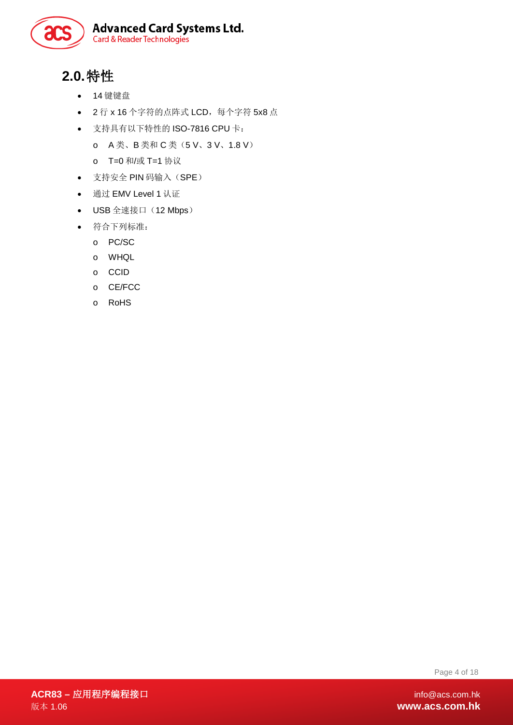

## <span id="page-3-0"></span>**2.0.**特性

- 14 键键盘
- 2 行 x 16 个字符的点阵式 LCD,每个字符 5x8 点
- 支持具有以下特性的 ISO-7816 CPU 卡:
	- o A 类、B 类和 C 类(5 V、3 V、1.8 V)
	- o T=0 和/或 T=1 协议
- 支持安全 PIN 码输入(SPE)
- 通过 EMV Level 1 认证
- USB 全速接口 (12 Mbps)
- 符合下列标准:
	- o PC/SC
	- o WHQL
	- o CCID
	- o CE/FCC
	- o RoHS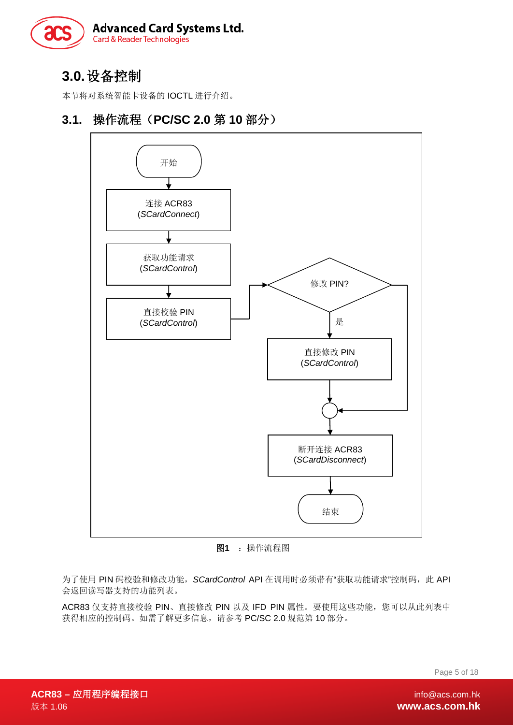

### <span id="page-4-0"></span>**3.0.**设备控制

本节将对系统智能卡设备的 IOCTL 进行介绍。

#### <span id="page-4-1"></span>**3.1.** 操作流程(**PC/SC 2.0** 第 **10** 部分)



图**1** :操作流程图

<span id="page-4-2"></span>为了使用 PIN 码校验和修改功能, SCardControl API 在调用时必须带有"获取功能请求"控制码, 此 API 会返回读写器支持的功能列表。

ACR83 仅支持直接校验 PIN、直接修改 PIN 以及 IFD PIN 属性。要使用这些功能, 您可以从此列表中 获得相应的控制码。如需了解更多信息,请参考 PC/SC 2.0 规范第 10 部分。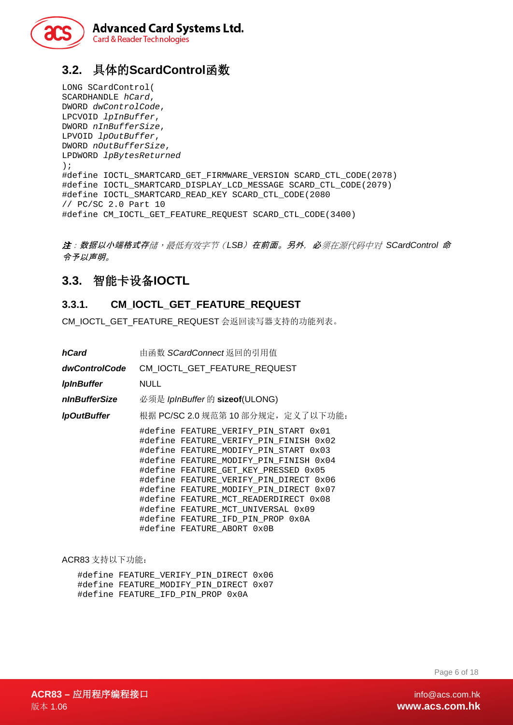

### <span id="page-5-0"></span>**3.2.** 具体的**ScardControl**函数

LONG SCardControl( SCARDHANDLE *hCard*, DWORD *dwControlCode*, LPCVOID *lpInBuffer*, DWORD *nInBufferSize*, LPVOID *lpOutBuffer*, DWORD *nOutBufferSize*, LPDWORD *lpBytesReturned*  ); #define IOCTL\_SMARTCARD\_GET\_FIRMWARE\_VERSION SCARD\_CTL\_CODE(2078) #define IOCTL\_SMARTCARD\_DISPLAY\_LCD\_MESSAGE SCARD\_CTL\_CODE(2079) #define IOCTL\_SMARTCARD\_READ\_KEY SCARD\_CTL\_CODE(2080 // PC/SC 2.0 Part 10 #define CM\_IOCTL\_GET\_FEATURE\_REQUEST SCARD\_CTL\_CODE(3400)

注:数据以小端格式存储,最低有效字节(*LSB*)在前面。另外,必须在源代码中对 *SCardControl* 命 令予以声明。

#### <span id="page-5-1"></span>**3.3.** 智能卡设备**IOCTL**

#### <span id="page-5-2"></span>**3.3.1. CM\_IOCTL\_GET\_FEATURE\_REQUEST**

CM\_IOCTL\_GET\_FEATURE\_REQUEST 会返回读写器支持的功能列表。

| hCard              | 由函数 SCardConnect返回的引用值                                                                                                                                                                                                                                                                                                                                                                                                                           |  |  |  |  |  |
|--------------------|--------------------------------------------------------------------------------------------------------------------------------------------------------------------------------------------------------------------------------------------------------------------------------------------------------------------------------------------------------------------------------------------------------------------------------------------------|--|--|--|--|--|
| dwControlCode      | CM IOCTL GET FEATURE REQUEST                                                                                                                                                                                                                                                                                                                                                                                                                     |  |  |  |  |  |
| <b>IpInBuffer</b>  | <b>NULL</b>                                                                                                                                                                                                                                                                                                                                                                                                                                      |  |  |  |  |  |
| nInBufferSize      | 必须是 IpInBuffer 的 sizeof(ULONG)                                                                                                                                                                                                                                                                                                                                                                                                                   |  |  |  |  |  |
| <b>IpOutBuffer</b> | 根据 PC/SC 2.0 规范第 10 部分规定, 定义了以下功能:                                                                                                                                                                                                                                                                                                                                                                                                               |  |  |  |  |  |
|                    | #define FEATURE VERIFY PIN START 0x01<br>#define FEATURE VERIFY PIN FINISH 0x02<br>#define FEATURE MODIFY PIN START 0x03<br>#define FEATURE MODIFY PIN FINISH 0x04<br>#define FEATURE GET KEY PRESSED 0x05<br>#define FEATURE VERIFY PIN DIRECT 0x06<br>#define FEATURE MODIFY PIN DIRECT 0x07<br>#define FEATURE MCT READERDIRECT 0x08<br>#define FEATURE MCT UNIVERSAL 0x09<br>#define FEATURE IFD PIN PROP 0x0A<br>#define FEATURE ABORT 0x0B |  |  |  |  |  |

ACR83 支持以下功能:

| #define FEATURE VERIFY PIN DIRECT 0x06 |  |
|----------------------------------------|--|
| #define FEATURE MODIFY PIN DIRECT 0x07 |  |
| #define FEATURE IFD PIN PROP 0x0A      |  |

Page 6 of 18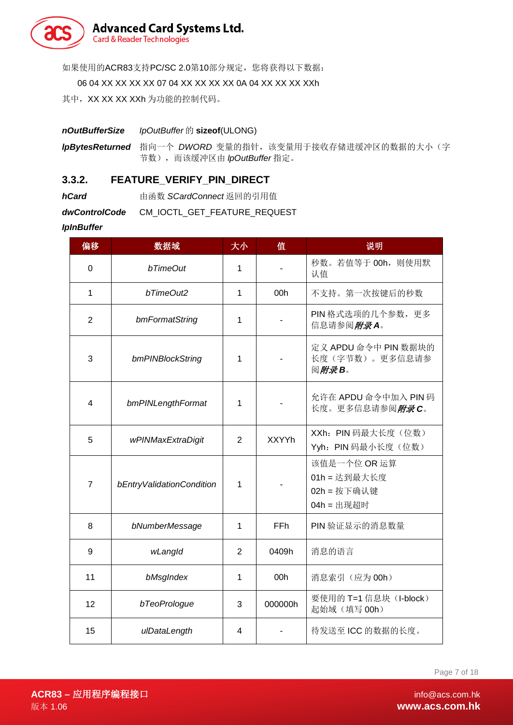

如果使用的ACR83支持PC/SC 2.0第10部分规定, 您将获得以下数据:

06 04 XX XX XX XX 07 04 XX XX XX XX 0A 04 XX XX XX XXh

其中, XX XX XX XXh 为功能的控制代码。

*nOutBufferSize IpOutBuffer* 的 **sizeof**(ULONG)

IpBytesReturned 指向一个 DWORD 变量的指针,该变量用于接收存储进缓冲区的数据的大小(字 节数),而该缓冲区由 *lpOutBuffer* 指定。

#### <span id="page-6-0"></span>**3.3.2. FEATURE\_VERIFY\_PIN\_DIRECT**

**hCard heral** 由函数 SCardConnect 返回的引用值

*dwControlCode* CM\_IOCTL\_GET\_FEATURE\_REQUEST

*IpInBuffer*

| 偏移             | 数据域                       | 大小             | 值            | 说明                                                        |
|----------------|---------------------------|----------------|--------------|-----------------------------------------------------------|
| 0              | bTimeOut                  | 1              |              | 秒数。若值等于 00h, 则使用默<br>认值                                   |
| 1              | bTimeOut2                 | 1              | 00h          | 不支持。第一次按键后的秒数                                             |
| $\overline{2}$ | bmFormatString            | 1              |              | PIN 格式选项的几个参数,更多<br>信息请参阅附录A。                             |
| 3              | bmPINBlockString          | 1              |              | 定义 APDU 命令中 PIN 数据块的<br>长度(字节数)。更多信息请参<br>阅附录B。           |
| 4              | bmPINLengthFormat         | 1              |              | 允许在 APDU 命令中加入 PIN 码<br>长度。更多信息请参阅 <i>附录C</i> 。           |
| 5              | wPINMaxExtraDigit         | $\overline{2}$ | <b>XXYYh</b> | XXh: PIN 码最大长度(位数)<br>Yyh: PIN 码最小长度(位数)                  |
| $\overline{7}$ | bEntryValidationCondition | 1              |              | 该值是一个位 OR 运算<br>01h = 达到最大长度<br>02h = 按下确认键<br>04h = 出现超时 |
| 8              | bNumberMessage            | 1              | <b>FFh</b>   | PIN 验证显示的消息数量                                             |
| 9              | wLangId                   | 2              | 0409h        | 消息的语言                                                     |
| 11             | bMsgIndex                 | 1              | 00h          | 消息索引(应为00h)                                               |
| 12             | bTeoPrologue              | 3              | 000000h      | 要使用的 T=1 信息块 (I-block)<br>起始域(填写00h)                      |
| 15             | ulDataLength              | 4              |              | 待发送至 ICC 的数据的长度。                                          |

Page 7 of 18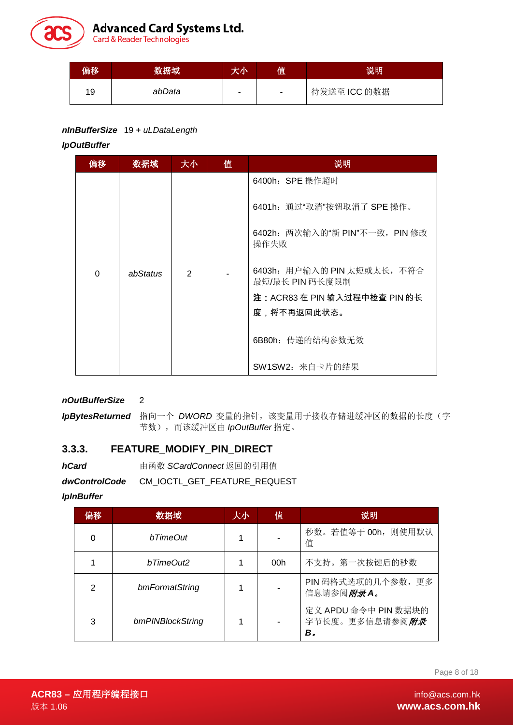

| 偏移 | 数据域    | FUN. | 值                        | 说明           |
|----|--------|------|--------------------------|--------------|
| 19 | abData |      | $\overline{\phantom{a}}$ | 待发送至 ICC 的数据 |

#### *nInBufferSize* 19 + *uLDataLength*

*IpOutBuffer*

| 偏移       | 数据域      | 大小            | 值 | 说明                                             |
|----------|----------|---------------|---|------------------------------------------------|
|          |          |               |   | 6400h: SPE 操作超时                                |
|          |          |               |   | 6401h:通过"取消"按钮取消了 SPE 操作。                      |
|          |          |               |   | 6402h: 两次输入的"新 PIN"不一致, PIN 修改<br>操作失败         |
| $\Omega$ | abStatus | $\mathcal{P}$ |   | 6403h: 用户输入的 PIN 太短或太长, 不符合<br>最短/最长 PIN 码长度限制 |
|          |          |               |   | 注:ACR83 在 PIN 输入过程中检查 PIN 的长                   |
|          |          |               |   | 度,将不再返回此状态。                                    |
|          |          |               |   | 6B80h: 传递的结构参数无效                               |
|          |          |               |   | SW1SW2: 来自卡片的结果                                |

*nOutBufferSize* 2

IpBytesReturned 指向一个 DWORD 变量的指针,该变量用于接收存储进缓冲区的数据的长度(字 节数),而该缓冲区由 *IpOutBuffer* 指定。

#### <span id="page-7-0"></span>**3.3.3. FEATURE\_MODIFY\_PIN\_DIRECT**

**hCard heral** 由函数 SCardConnect 返回的引用值

*dwControlCode* CM\_IOCTL\_GET\_FEATURE\_REQUEST

*IpInBuffer*

| 偏移 | 数据域              | 大小 | 值   | 说明                                                   |
|----|------------------|----|-----|------------------------------------------------------|
|    | hTimeOut         |    |     | 秒数。若值等于 00h, 则使用默认<br>值                              |
|    | bTimeOut2        |    | 00h | 不支持。第一次按键后的秒数                                        |
| 2  | bmFormatString   |    |     | PIN 码格式选项的几个参数, 更多<br>信息请参阅 <i>附录A。</i>              |
| 3  | bmPINBlockString |    |     | 定义 APDU 命令中 PIN 数据块的<br>字节长度。更多信息请参阅 <i>附录</i><br>В. |

Page 8 of 18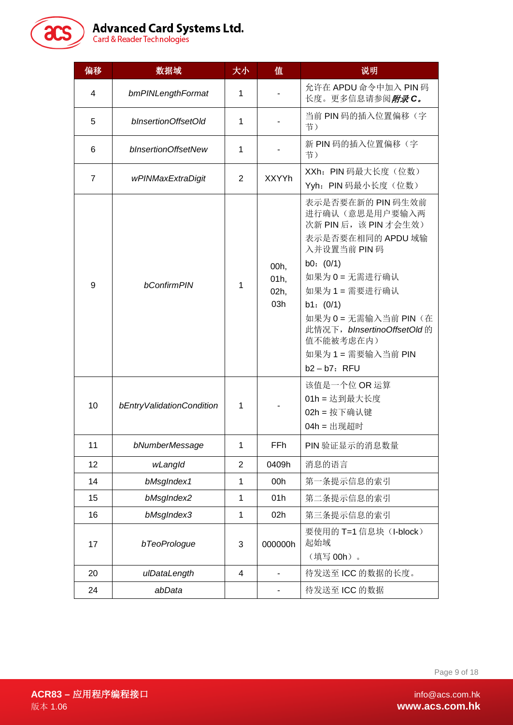60

| 偏移                              | 数据域                 | 大小             | 值                            | 说明                                                                                                                                                                                                                                                                         |
|---------------------------------|---------------------|----------------|------------------------------|----------------------------------------------------------------------------------------------------------------------------------------------------------------------------------------------------------------------------------------------------------------------------|
| 4                               | bmPINLengthFormat   | $\mathbf{1}$   |                              | 允许在 APDU 命令中加入 PIN 码<br>长度。更多信息请参阅 <i>附录C。</i>                                                                                                                                                                                                                             |
| 5                               | bInsertionOffsetOld | 1              |                              | 当前 PIN 码的插入位置偏移(字<br>节)                                                                                                                                                                                                                                                    |
| 6                               | bInsertionOffsetNew | $\mathbf{1}$   |                              | 新 PIN 码的插入位置偏移(字<br>节)                                                                                                                                                                                                                                                     |
| $\overline{7}$                  | wPINMaxExtraDigit   | 2              | <b>XXYYh</b>                 | XXh: PIN 码最大长度(位数)<br>Yyh: PIN 码最小长度(位数)                                                                                                                                                                                                                                   |
| 9                               | <b>bConfirmPIN</b>  |                | 00h,<br>01h,<br>02h,<br>03h  | 表示是否要在新的 PIN 码生效前<br>进行确认(意思是用户要输入两<br>次新 PIN 后, 该 PIN 才会生效)<br>表示是否要在相同的 APDU 域输<br>入并设置当前 PIN 码<br>b0: $(0/1)$<br>如果为 0 = 无需进行确认<br>如果为1=需要进行确认<br>b1: $(0/1)$<br>如果为 0 = 无需输入当前 PIN (在<br>此情况下, bInsertinoOffsetOld的<br>值不能被考虑在内)<br>如果为1=需要输入当前 PIN<br>$b2 - b7$ : RFU |
| 10<br>bEntryValidationCondition |                     | 1              |                              | 该值是一个位 OR 运算<br>01h = 达到最大长度<br>02h = 按下确认键<br>04h = 出现超时                                                                                                                                                                                                                  |
| 11                              | bNumberMessage      | 1              | FFh                          | PIN 验证显示的消息数量                                                                                                                                                                                                                                                              |
| 12                              | wLangId             | $\overline{2}$ | 0409h                        | 消息的语言                                                                                                                                                                                                                                                                      |
| 14                              | bMsgIndex1          | $\mathbf{1}$   | 00h                          | 第一条提示信息的索引                                                                                                                                                                                                                                                                 |
| 15                              | bMsgIndex2          |                | 01h                          | 第二条提示信息的索引                                                                                                                                                                                                                                                                 |
| 16                              | bMsgIndex3          | 1              | 02h                          | 第三条提示信息的索引                                                                                                                                                                                                                                                                 |
| 17                              | bTeoPrologue        | 3              | 000000h                      | 要使用的 T=1 信息块 (I-block)<br>起始域<br>(填写 00h)。                                                                                                                                                                                                                                 |
| 20                              | ulDataLength        | 4              |                              | 待发送至 ICC 的数据的长度。                                                                                                                                                                                                                                                           |
| 24                              | abData              |                | $\qquad \qquad \blacksquare$ | 待发送至 ICC 的数据                                                                                                                                                                                                                                                               |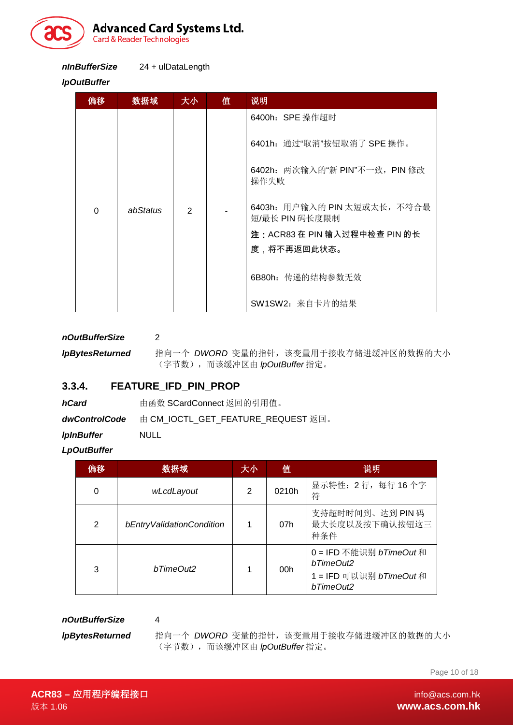

*nInBufferSize* 24 + ulDataLength

#### *lpOutBuffer*

| 偏移       | 数据域      | 大小 | 值 | 说明                                             |
|----------|----------|----|---|------------------------------------------------|
|          |          |    |   | 6400h: SPE 操作超时                                |
|          |          |    |   | 6401h: 通过"取消"按钮取消了 SPE 操作。                     |
|          |          |    |   | 6402h: 两次输入的"新 PIN"不一致, PIN 修改<br>操作失败         |
| $\Omega$ | abStatus | 2  |   | 6403h: 用户输入的 PIN 太短或太长, 不符合最<br>短/最长 PIN 码长度限制 |
|          |          |    |   | 注:ACR83 在 PIN 输入过程中检查 PIN 的长                   |
|          |          |    |   | 度,将不再返回此状态。                                    |
|          |          |    |   | 6B80h: 传递的结构参数无效                               |
|          |          |    |   | SW1SW2: 来自卡片的结果                                |

*nOutBufferSize* 2

*lpBytesReturned* 指向一个 *DWORD* 变量的指针,该变量用于接收存储进缓冲区的数据的大小 (字节数),而该缓冲区由 *lpOutBuffer* 指定。

#### <span id="page-9-0"></span>**3.3.4. FEATURE\_IFD\_PIN\_PROP**

| hCard                    | 由函数 SCardConnect 返回的引用值。           |  |  |  |  |
|--------------------------|------------------------------------|--|--|--|--|
| <i>dwControlCode</i>     | 由 CM IOCTL GET FEATURE REQUEST 返回。 |  |  |  |  |
| <i><b>IpInBuffer</b></i> | <b>NULL</b>                        |  |  |  |  |

*LpOutBuffer*

| 偏移 | 数据域                       | 大小 | 值     | 说明                                                                          |
|----|---------------------------|----|-------|-----------------------------------------------------------------------------|
| 0  | wLcdLayout                |    | 0210h | 显示特性: 2行, 每行 16个字<br>符                                                      |
| 2  | bEntryValidationCondition |    | 07h   | 支持超时时间到、达到 PIN 码<br>最大长度以及按下确认按钮这三<br>种条件                                   |
| 3  | bTimeOut2                 |    | 00h   | 0 = IFD 不能识别 bTimeOut 和<br>bTimeOut2<br>1 = IFD 可以识别 bTimeOut和<br>bTimeOut2 |

*nOutBufferSize* 4

*lpBytesReturned* 指向一个 *DWORD* 变量的指针,该变量用于接收存储进缓冲区的数据的大小 (字节数),而该缓冲区由 *lpOutBuffer* 指定。

Page 10 of 18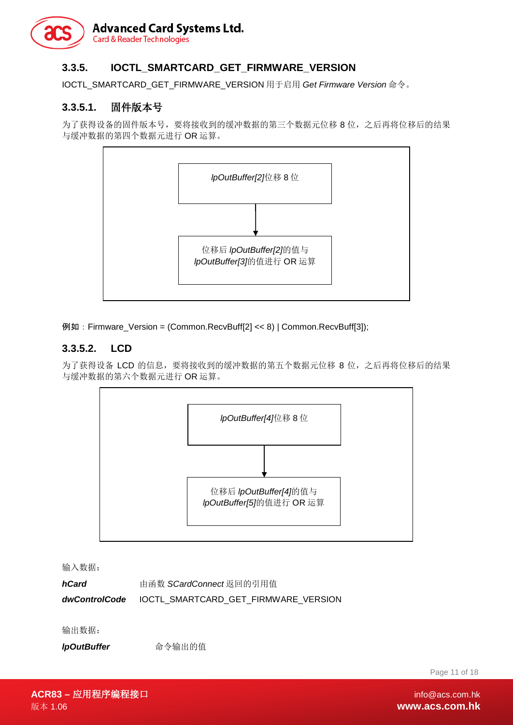#### <span id="page-10-0"></span>**3.3.5. IOCTL\_SMARTCARD\_GET\_FIRMWARE\_VERSION**

IOCTL\_SMARTCARD\_GET\_FIRMWARE\_VERSION 用于启用 *Get Firmware Version* 命令。

#### **3.3.5.1.** 固件版本号

为了获得设备的固件版本号,要将接收到的缓冲数据的第三个数据元位移 8位,之后再将位移后的结果 与缓冲数据的第四个数据元进行 OR 运算。



例如:Firmware\_Version = (Common.RecvBuff[2] << 8) | Common.RecvBuff[3]);

#### **3.3.5.2. LCD**

为了获得设备 LCD 的信息, 要将接收到的缓冲数据的第五个数据元位移 8 位, 之后再将位移后的结果 与缓冲数据的第六个数据元进行 OR 运算。



输入数据:

**hCard heral** 由函数 SCardConnect 返回的引用值 *dwControlCode* IOCTL\_SMARTCARD\_GET\_FIRMWARE\_VERSION

输出数据:

*lpOutBuffer* 命令输出的值

Page 11 of 18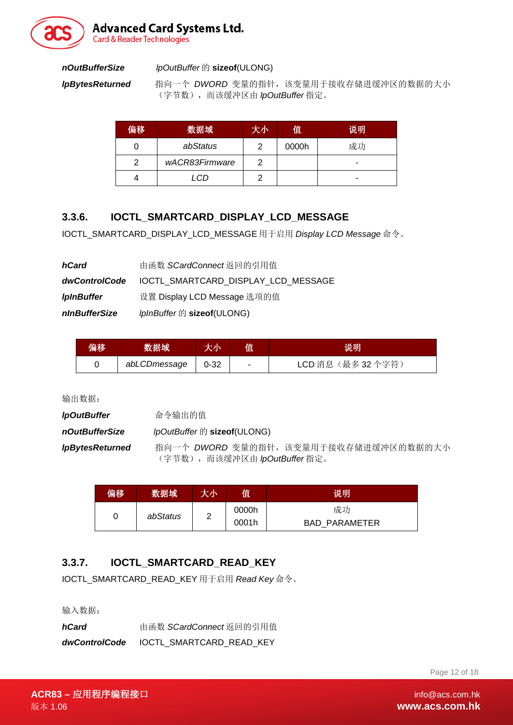

**Advanced Card Systems Ltd.** 

**Card & Reader Technologies** 

#### *nOutBufferSize lpOutBuffer* 的 **sizeof**(ULONG)

*lpBytesReturned* 指向一个 *DWORD* 变量的指针,该变量用于接收存储进缓冲区的数据的大小 (字节数),而该缓冲区由 *lpOutBuffer* 指定。

| 偏移 | 数据域            | 大小 | 值     | 说明 |
|----|----------------|----|-------|----|
|    | abStatus       | າ  | 0000h | 成功 |
|    | wACR83Firmware | ╭  |       |    |
|    | LCD            |    |       |    |

#### <span id="page-11-0"></span>**3.3.6. IOCTL\_SMARTCARD\_DISPLAY\_LCD\_MESSAGE**

IOCTL\_SMARTCARD\_DISPLAY\_LCD\_MESSAGE 用于启用 *Display LCD Message* 命令。

| hCard             | 由函数 SCardConnect返回的引用值                            |
|-------------------|---------------------------------------------------|
|                   | dwControlCode IOCTL SMARTCARD DISPLAY LCD MESSAGE |
| <b>IpInBuffer</b> | 设置 Display LCD Message 选项的值                       |
| nInBufferSize     | IpInBuffer 的 sizeof(ULONG)                        |

| 偏移 | 数据域          | 大小       | 值 | 说明                |
|----|--------------|----------|---|-------------------|
|    | abLCDmessage | $0 - 32$ | - | LCD 消息 (最多 32个字符) |

输出数据:

| <i><b>IpOutBuffer</b></i>     | 命令输出的值                               |
|-------------------------------|--------------------------------------|
| nOutBufferSize                | lpOutBuffer 的 sizeof(ULONG)          |
| <i><b>IpBytesReturned</b></i> | 指向一个 DWORD 变量的指针,该变量用于接收存储进缓冲区的数据的大小 |
|                               | (字节数), 而该缓冲区由 lpOutBuffer 指定。        |

| 偏移 | 数据域      | 大小 | 值     | 说明                   |
|----|----------|----|-------|----------------------|
|    | abStatus | ◠  | 0000h | 成功                   |
|    |          |    | 0001h | <b>BAD PARAMETER</b> |

#### <span id="page-11-1"></span>**3.3.7. IOCTL\_SMARTCARD\_READ\_KEY**

IOCTL\_SMARTCARD\_READ\_KEY 用于启用 *Read Key* 命令。

输入数据:

| hCard         | 由函数 SCardConnect 返回的引用值         |
|---------------|---------------------------------|
| dwControlCode | <b>IOCTL SMARTCARD READ KEY</b> |

Page 12 of 18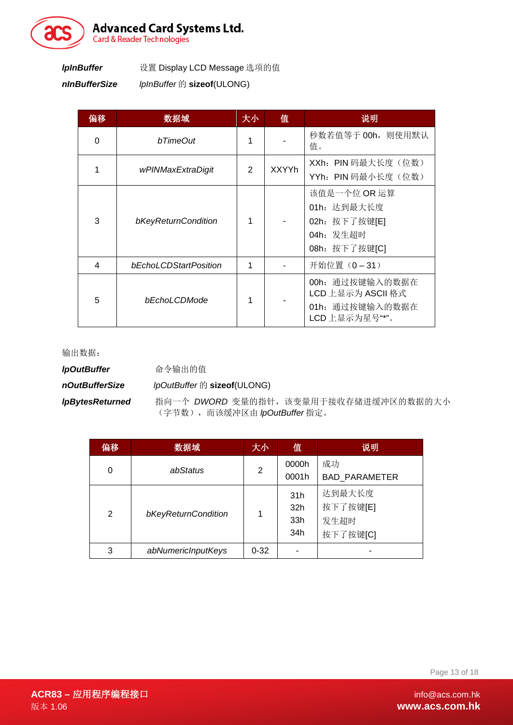

*nInBufferSize lpInBuffer* 的 **sizeof**(ULONG)

| 偏移       | 数据域                   | 大小 | 值            | 说明                                                                         |
|----------|-----------------------|----|--------------|----------------------------------------------------------------------------|
| $\Omega$ | bTimeOut              | 1  |              | 秒数若值等于 00h, 则使用默认<br>值。                                                    |
| 1        | wPINMaxExtraDigit     |    | <b>XXYYh</b> | XXh: PIN 码最大长度(位数)<br>YYh: PIN 码最小长度(位数)                                   |
| 3        | bKeyReturnCondition   | 1  |              | 该值是一个位 OR 运算<br>01h: 达到最大长度<br>02h: 按下了按键[E]<br>04h: 发生超时<br>08h: 按下了按键[C] |
| 4        | bEchoLCDStartPosition | 1  |              | 开始位置 (0-31)                                                                |
| 5        | bEchoLCDMode          | 1  |              | 00h: 通过按键输入的数据在<br>LCD 上显示为 ASCII 格式<br>01h: 通过按键输入的数据在<br>LCD 上显示为星号"*"。  |

输出数据:

| <b>IpOutBuffer</b> | 命令输出的值 |
|--------------------|--------|
|--------------------|--------|

*nOutBufferSize lpOutBuffer* 的 **sizeof**(ULONG)

*lpBytesReturned* 指向一个 *DWORD* 变量的指针,该变量用于接收存储进缓冲区的数据的大小 (字节数),而该缓冲区由 *lpOutBuffer* 指定。

| 偏移 | 数据域                 | 大小       | 值               | 说明                   |
|----|---------------------|----------|-----------------|----------------------|
| 0  | abStatus            | 2        | 0000h           | 成功                   |
|    |                     |          | 0001h           | <b>BAD PARAMETER</b> |
|    | bKeyReturnCondition |          | 31h             | 达到最大长度               |
| 2  |                     |          | 32 <sub>h</sub> | 按下了按键[E]             |
|    |                     |          | 33 <sub>h</sub> | 发生超时                 |
|    |                     |          | 34h             | 按下了按键[C]             |
| 3  | abNumericInputKeys  | $0 - 32$ |                 |                      |

Page 13 of 18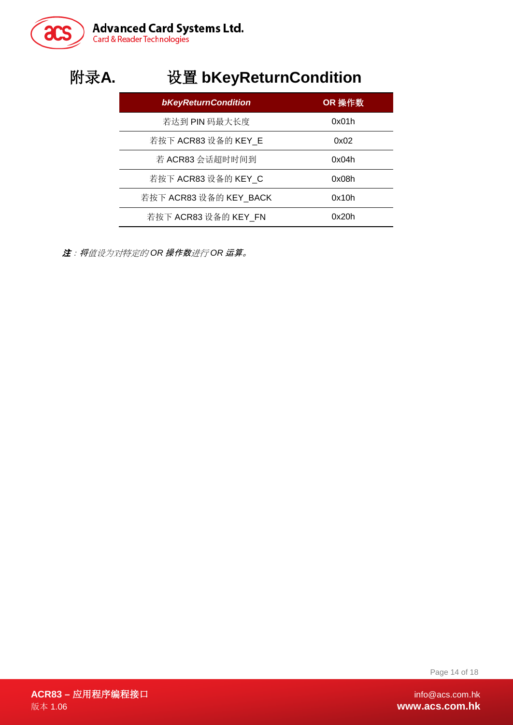

# <span id="page-13-0"></span>附录**A.** 设置 **bKeyReturnCondition**

| <b>bKeyReturnCondition</b> | OR 操作数 |
|----------------------------|--------|
| 若达到 PIN 码最大长度              | 0x01h  |
| 若按下 ACR83 设备的 KEY_E        | 0x02   |
| 若 ACR83 会话超时时间到            | 0x04h  |
| 若按下 ACR83 设备的 KEY_C        | 0x08h  |
| 若按下 ACR83 设备的 KEY_BACK     | 0x10h  |
| 若按下 ACR83 设备的 KEY FN       | 0x20h  |

注:将值设为对特定的 *OR* 操作数进行 *OR* 运算。

Page 14 of 18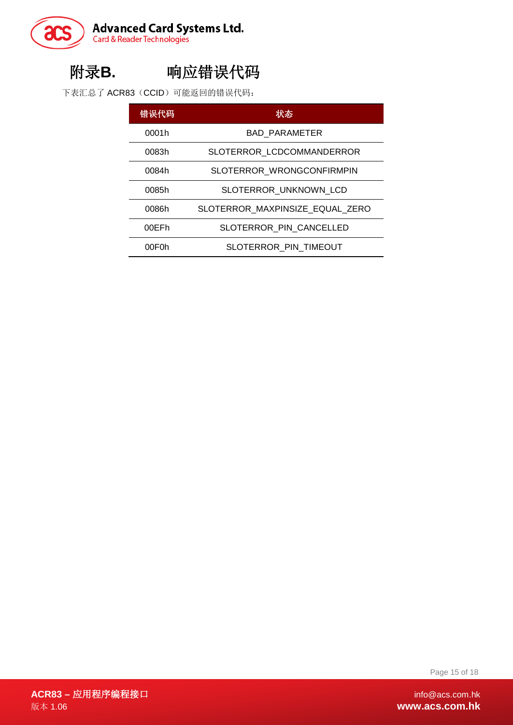

## <span id="page-14-0"></span>附录**B.** 响应错误代码

下表汇总了 ACR83 (CCID)可能返回的错误代码:

| 错误代码  | 状态                              |
|-------|---------------------------------|
| 0001h | <b>BAD PARAMETER</b>            |
| 0083h | SLOTERROR LCDCOMMANDERROR       |
| 0084h | SLOTERROR_WRONGCONFIRMPIN       |
| 0085h | SLOTERROR UNKNOWN LCD           |
| 0086h | SLOTERROR MAXPINSIZE EQUAL ZERO |
| 00EFh | SLOTERROR PIN CANCELLED         |
| 00F0h | SLOTERROR PIN TIMEOUT           |

Page 15 of 18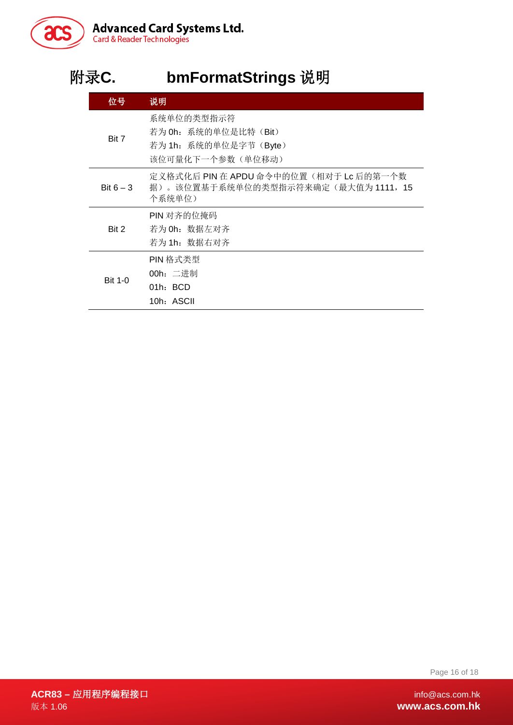

# <span id="page-15-0"></span>附录**C. bmFormatStrings** 说明

| 位号             | 说明                                                                                    |
|----------------|---------------------------------------------------------------------------------------|
| Bit 7          | 系统单位的类型指示符<br>若为 Oh: 系统的单位是比特 (Bit)<br>若为 1h: 系统的单位是字节 (Byte)<br>该位可量化下一个参数(单位移动)     |
| Bit $6 - 3$    | 定义格式化后 PIN 在 APDU 命令中的位置(相对于 Lc 后的第一个数<br>据)。该位置基于系统单位的类型指示符来确定(最大值为1111,15<br>个系统单位) |
| Bit 2          | PIN 对齐的位掩码<br>若为 0h: 数据左对齐<br>若为 1h:数据右对齐                                             |
| <b>Bit 1-0</b> | PIN 格式类型<br>00h: 二进制<br>$01h$ : BCD<br>10h: ASCII                                     |

Page 16 of 18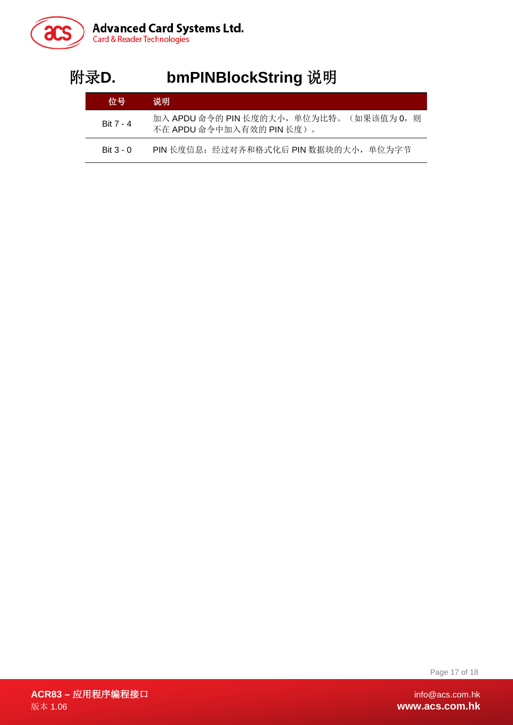

I.

# <span id="page-16-0"></span>附录**D. bmPINBlockString** 说明

| 位号          | 说明                                                                       |
|-------------|--------------------------------------------------------------------------|
| Bit 7 - 4   | 加入 APDU 命令的 PIN 长度的大小, 单位为比特。<br>(如果该值为 0,则<br>不在 APDU 命令中加入有效的 PIN 长度)。 |
| $Bit 3 - 0$ | PIN 长度信息:经过对齐和格式化后 PIN 数据块的大小,单位为字节                                      |

Page 17 of 18